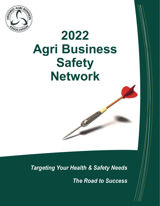

# **2022 Agri Business Safety Network**

*Targeting Your Health & Safety Needs* 

*The Road to Success*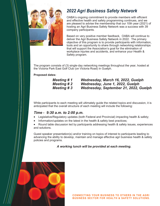

## *2022 Agri Business Safety Network*

OABA's ongoing commitment to provide members with efficient and effective health and safety programming continues, and we are pleased to advise the membership that our 10th year (2021) of hosting an Agri Business Safety Network was a success with 39 company participants.

Based on very positive member feedback, OABA will continue to deliver the Agri Business Safety Network in 2022. The primary objective of this program is to provide participants with information, tools and an opportunity to share through networking relationships that will support the Association's goal for the elimination of workplace injuries and accidents, and enhance your Health & Safety program.

The program consists of (3) single-day networking meetings throughout the year, hosted at the Victoria Park East Golf Club (on Victoria Road) in Guelph.

#### **Proposed dates:**

*Meeting # 1 Wednesday, March 16, 2022, Guelph Meeting # 2 Wednesday, June 1, 2022, Guelph Meeting # 3 Wednesday, September 21, 2022, Guelph*

While participants to each meeting will ultimately guide the related topics and discussion, it is anticipated that the overall structure of each meeting will include the following:

### *Time - 9:30 a.m. to 2:00 p.m.*

- Legislative/Regulatory updates (both Federal and Provincial) impacting health & safety;
- Information/updates on the latest in the health & safety best practices;

 Round table discussion led by participants addressing health & safety issues, experiences and solutions.

Guest speaker presentation(s) and/or training on topics of interest to participants leading to advancing the ability to develop, maintain and manage effective agri business health & safety policies and programs.

*A working lunch will be provided at each meeting.*